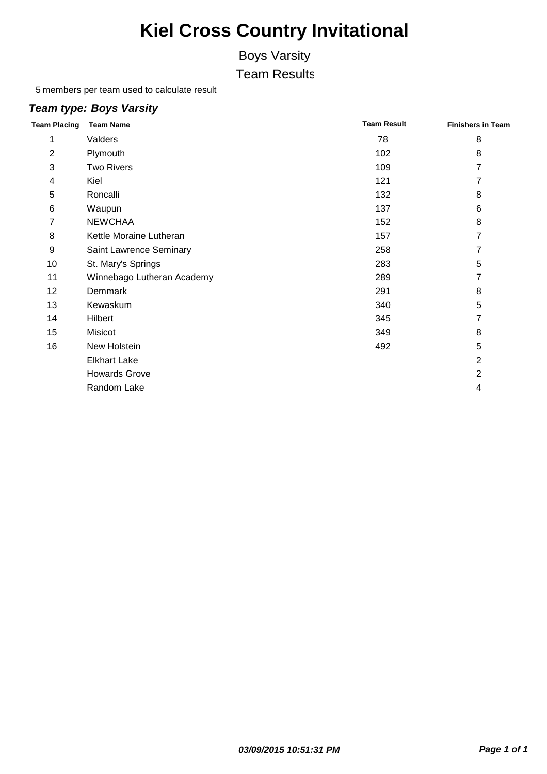### Boys Varsity

Team Results

members per team used to calculate result

#### *Team type: Boys Varsity*

| <b>Team Placing</b> | <b>Team Name</b>           | <b>Team Result</b> | <b>Finishers in Team</b> |
|---------------------|----------------------------|--------------------|--------------------------|
|                     | Valders                    | 78                 | 8                        |
| $\overline{2}$      | Plymouth                   | 102                | 8                        |
| 3                   | <b>Two Rivers</b>          | 109                | 7                        |
| 4                   | Kiel                       | 121                | 7                        |
| 5                   | Roncalli                   | 132                | 8                        |
| $\,6$               | Waupun                     | 137                | 6                        |
| $\overline{7}$      | <b>NEWCHAA</b>             | 152                | 8                        |
| 8                   | Kettle Moraine Lutheran    | 157                | 7                        |
| 9                   | Saint Lawrence Seminary    | 258                | 7                        |
| 10                  | St. Mary's Springs         | 283                | 5                        |
| 11                  | Winnebago Lutheran Academy | 289                | 7                        |
| 12                  | Demmark                    | 291                | 8                        |
| 13                  | Kewaskum                   | 340                | 5                        |
| 14                  | Hilbert                    | 345                | 7                        |
| 15                  | Misicot                    | 349                | 8                        |
| 16                  | New Holstein               | 492                | 5                        |
|                     | <b>Elkhart Lake</b>        |                    | $\overline{2}$           |
|                     | <b>Howards Grove</b>       |                    | $\overline{2}$           |
|                     | Random Lake                |                    | 4                        |
|                     |                            |                    |                          |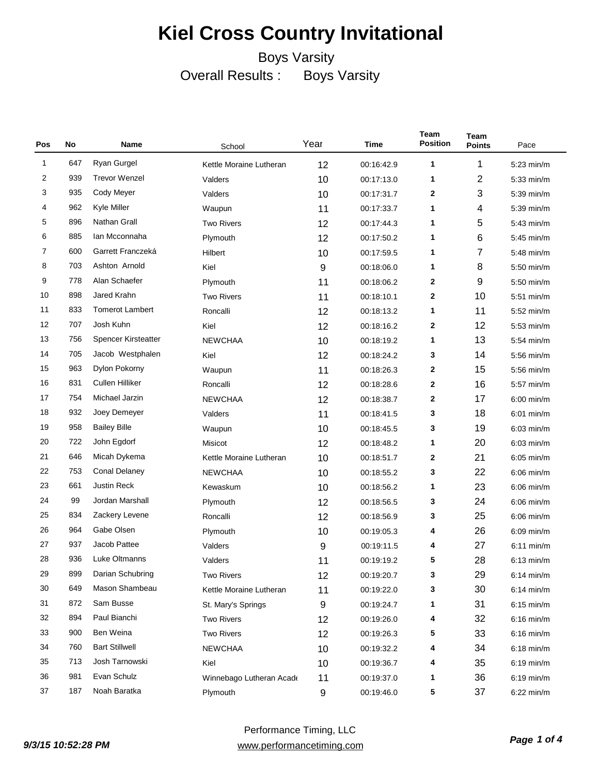| Pos            | No  | Name                       | School                   | Year             | Time       | Team<br><b>Position</b> | <b>Team</b><br><b>Points</b> | Pace         |
|----------------|-----|----------------------------|--------------------------|------------------|------------|-------------------------|------------------------------|--------------|
| 1              | 647 | Ryan Gurgel                | Kettle Moraine Lutheran  | 12               | 00:16:42.9 | 1                       | 1                            | $5:23$ min/m |
| 2              | 939 | <b>Trevor Wenzel</b>       | Valders                  | 10               | 00:17:13.0 | 1                       | 2                            | 5:33 min/m   |
| 3              | 935 | Cody Meyer                 | Valders                  | 10               | 00:17:31.7 | 2                       | 3                            | 5:39 min/m   |
| 4              | 962 | Kyle Miller                | Waupun                   | 11               | 00:17:33.7 | 1                       | 4                            | 5:39 min/m   |
| 5              | 896 | Nathan Grall               | <b>Two Rivers</b>        | 12               | 00:17:44.3 | 1                       | 5                            | 5:43 min/m   |
| 6              | 885 | Ian Mcconnaha              | Plymouth                 | 12               | 00:17:50.2 | 1                       | 6                            | 5:45 min/m   |
| $\overline{7}$ | 600 | Garrett Franczeká          | Hilbert                  | 10               | 00:17:59.5 | 1                       | 7                            | 5:48 min/m   |
| 8              | 703 | Ashton Arnold              | Kiel                     | 9                | 00:18:06.0 | 1                       | 8                            | 5:50 min/m   |
| 9              | 778 | Alan Schaefer              | Plymouth                 | 11               | 00:18:06.2 | 2                       | 9                            | 5:50 min/m   |
| 10             | 898 | Jared Krahn                | <b>Two Rivers</b>        | 11               | 00:18:10.1 | 2                       | 10                           | 5:51 min/m   |
| 11             | 833 | <b>Tomerot Lambert</b>     | Roncalli                 | 12               | 00:18:13.2 | 1                       | 11                           | 5:52 min/m   |
| 12             | 707 | Josh Kuhn                  | Kiel                     | 12               | 00:18:16.2 | 2                       | 12                           | 5:53 min/m   |
| 13             | 756 | <b>Spencer Kirsteatter</b> | <b>NEWCHAA</b>           | 10               | 00:18:19.2 | 1                       | 13                           | $5:54$ min/m |
| 14             | 705 | Jacob Westphalen           | Kiel                     | 12               | 00:18:24.2 | 3                       | 14                           | 5:56 min/m   |
| 15             | 963 | Dylon Pokorny              | Waupun                   | 11               | 00:18:26.3 | 2                       | 15                           | $5:56$ min/m |
| 16             | 831 | Cullen Hilliker            | Roncalli                 | 12               | 00:18:28.6 | 2                       | 16                           | 5:57 min/m   |
| 17             | 754 | Michael Jarzin             | <b>NEWCHAA</b>           | 12               | 00:18:38.7 | 2                       | 17                           | $6:00$ min/m |
| 18             | 932 | Joey Demeyer               | Valders                  | 11               | 00:18:41.5 | 3                       | 18                           | $6:01$ min/m |
| 19             | 958 | <b>Bailey Bille</b>        | Waupun                   | 10               | 00:18:45.5 | 3                       | 19                           | $6:03$ min/m |
| 20             | 722 | John Egdorf                | Misicot                  | 12               | 00:18:48.2 | 1                       | 20                           | $6:03$ min/m |
| 21             | 646 | Micah Dykema               | Kettle Moraine Lutheran  | 10               | 00:18:51.7 | 2                       | 21                           | $6:05$ min/m |
| 22             | 753 | Conal Delaney              | <b>NEWCHAA</b>           | 10               | 00:18:55.2 | 3                       | 22                           | $6:06$ min/m |
| 23             | 661 | <b>Justin Reck</b>         | Kewaskum                 | 10               | 00:18:56.2 | 1                       | 23                           | $6:06$ min/m |
| 24             | 99  | Jordan Marshall            | Plymouth                 | 12               | 00:18:56.5 | 3                       | 24                           | $6:06$ min/m |
| 25             | 834 | Zackery Levene             | Roncalli                 | 12               | 00:18:56.9 | 3                       | 25                           | $6:06$ min/m |
| 26             | 964 | Gabe Olsen                 | Plymouth                 | 10               | 00:19:05.3 | 4                       | 26                           | $6:09$ min/m |
| 27             | 937 | Jacob Pattee               | Valders                  | 9                | 00:19:11.5 | 4                       | 27                           | $6:11$ min/m |
| 28             | 936 | Luke Oltmanns              | Valders                  | 11               | 00:19:19.2 | 5                       | 28                           | $6:13$ min/m |
| 29             | 899 | Darian Schubring           | Two Rivers               | 12               | 00:19:20.7 | 3                       | 29                           | $6:14$ min/m |
| 30             | 649 | Mason Shambeau             | Kettle Moraine Lutheran  | 11               | 00:19:22.0 | 3                       | 30                           | $6:14$ min/m |
| 31             | 872 | Sam Busse                  | St. Mary's Springs       | 9                | 00:19:24.7 | 1                       | 31                           | $6:15$ min/m |
| 32             | 894 | Paul Bianchi               | <b>Two Rivers</b>        | 12               | 00:19:26.0 | 4                       | 32                           | $6:16$ min/m |
| 33             | 900 | Ben Weina                  | <b>Two Rivers</b>        | 12               | 00:19:26.3 | 5                       | 33                           | $6:16$ min/m |
| 34             | 760 | <b>Bart Stillwell</b>      | <b>NEWCHAA</b>           | 10               | 00:19:32.2 | 4                       | 34                           | $6:18$ min/m |
| 35             | 713 | Josh Tarnowski             | Kiel                     | 10               | 00:19:36.7 | 4                       | 35                           | $6:19$ min/m |
| 36             | 981 | Evan Schulz                | Winnebago Lutheran Acade | 11               | 00:19:37.0 | 1                       | 36                           | $6:19$ min/m |
| 37             | 187 | Noah Baratka               | Plymouth                 | $\boldsymbol{9}$ | 00:19:46.0 | 5                       | 37                           | $6:22$ min/m |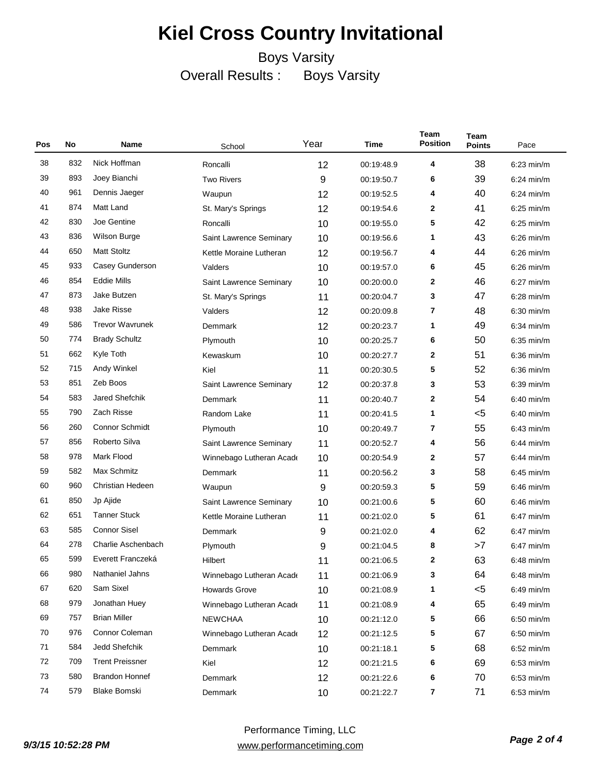| Pos | No  | Name                    | School                   | Year | Time       | Team<br><b>Position</b> | Team<br><b>Points</b> | Pace         |
|-----|-----|-------------------------|--------------------------|------|------------|-------------------------|-----------------------|--------------|
| 38  | 832 | Nick Hoffman            | Roncalli                 | 12   | 00:19:48.9 | 4                       | 38                    | $6:23$ min/m |
| 39  | 893 | Joey Bianchi            | <b>Two Rivers</b>        | 9    | 00:19:50.7 | 6                       | 39                    | $6:24$ min/m |
| 40  | 961 | Dennis Jaeger           | Waupun                   | 12   | 00:19:52.5 | 4                       | 40                    | $6:24$ min/m |
| 41  | 874 | Matt Land               | St. Mary's Springs       | 12   | 00:19:54.6 | 2                       | 41                    | $6:25$ min/m |
| 42  | 830 | Joe Gentine             | Roncalli                 | 10   | 00:19:55.0 | 5                       | 42                    | $6:25$ min/m |
| 43  | 836 | Wilson Burge            | Saint Lawrence Seminary  | 10   | 00:19:56.6 | 1                       | 43                    | $6:26$ min/m |
| 44  | 650 | <b>Matt Stoltz</b>      | Kettle Moraine Lutheran  | 12   | 00:19:56.7 | 4                       | 44                    | $6:26$ min/m |
| 45  | 933 | Casey Gunderson         | Valders                  | 10   | 00:19:57.0 | 6                       | 45                    | $6:26$ min/m |
| 46  | 854 | <b>Eddie Mills</b>      | Saint Lawrence Seminary  | 10   | 00:20:00.0 | 2                       | 46                    | $6:27$ min/m |
| 47  | 873 | Jake Butzen             | St. Mary's Springs       | 11   | 00:20:04.7 | 3                       | 47                    | $6:28$ min/m |
| 48  | 938 | <b>Jake Risse</b>       | Valders                  | 12   | 00:20:09.8 | 7                       | 48                    | $6:30$ min/m |
| 49  | 586 | <b>Trevor Wavrunek</b>  | Demmark                  | 12   | 00:20:23.7 | 1                       | 49                    | $6:34$ min/m |
| 50  | 774 | <b>Brady Schultz</b>    | Plymouth                 | 10   | 00:20:25.7 | 6                       | 50                    | $6:35$ min/m |
| 51  | 662 | Kyle Toth               | Kewaskum                 | 10   | 00:20:27.7 | 2                       | 51                    | $6:36$ min/m |
| 52  | 715 | Andy Winkel             | Kiel                     | 11   | 00:20:30.5 | 5                       | 52                    | $6:36$ min/m |
| 53  | 851 | Zeb Boos                | Saint Lawrence Seminary  | 12   | 00:20:37.8 | 3                       | 53                    | $6:39$ min/m |
| 54  | 583 | Jared Shefchik          | Demmark                  | 11   | 00:20:40.7 | 2                       | 54                    | $6:40$ min/m |
| 55  | 790 | Zach Risse              | Random Lake              | 11   | 00:20:41.5 | 1                       | $5$                   | $6:40$ min/m |
| 56  | 260 | <b>Connor Schmidt</b>   | Plymouth                 | 10   | 00:20:49.7 | 7                       | 55                    | $6:43$ min/m |
| 57  | 856 | Roberto Silva           | Saint Lawrence Seminary  | 11   | 00:20:52.7 | 4                       | 56                    | $6:44$ min/m |
| 58  | 978 | Mark Flood              | Winnebago Lutheran Acade | 10   | 00:20:54.9 | 2                       | 57                    | $6:44$ min/m |
| 59  | 582 | Max Schmitz             | Demmark                  | 11   | 00:20:56.2 | 3                       | 58                    | $6:45$ min/m |
| 60  | 960 | <b>Christian Hedeen</b> | Waupun                   | 9    | 00:20:59.3 | 5                       | 59                    | $6:46$ min/m |
| 61  | 850 | Jp Ajide                | Saint Lawrence Seminary  | 10   | 00:21:00.6 | 5                       | 60                    | $6:46$ min/m |
| 62  | 651 | <b>Tanner Stuck</b>     | Kettle Moraine Lutheran  | 11   | 00:21:02.0 | 5                       | 61                    | 6:47 min/m   |
| 63  | 585 | <b>Connor Sisel</b>     | Demmark                  | 9    | 00:21:02.0 | 4                       | 62                    | $6:47$ min/m |
| 64  | 278 | Charlie Aschenbach      | Plymouth                 | 9    | 00:21:04.5 | 8                       | >7                    | $6:47$ min/m |
| 65  | 599 | Everett Franczeká       | Hilbert                  | 11   | 00:21:06.5 | 2                       | 63                    | $6:48$ min/m |
| 66  | 980 | Nathaniel Jahns         | Winnebago Lutheran Acade | 11   | 00:21:06.9 | 3                       | 64                    | $6:48$ min/m |
| 67  | 620 | Sam Sixel               | <b>Howards Grove</b>     | 10   | 00:21:08.9 | 1                       | $5$                   | $6:49$ min/m |
| 68  | 979 | Jonathan Huey           | Winnebago Lutheran Acade | 11   | 00:21:08.9 | 4                       | 65                    | $6:49$ min/m |
| 69  | 757 | <b>Brian Miller</b>     | <b>NEWCHAA</b>           | 10   | 00:21:12.0 | 5                       | 66                    | $6:50$ min/m |
| 70  | 976 | Connor Coleman          | Winnebago Lutheran Acade | 12   | 00:21:12.5 | 5                       | 67                    | $6:50$ min/m |
| 71  | 584 | Jedd Shefchik           | Demmark                  | 10   | 00:21:18.1 | 5                       | 68                    | $6:52$ min/m |
| 72  | 709 | <b>Trent Preissner</b>  | Kiel                     | 12   | 00:21:21.5 | 6                       | 69                    | $6:53$ min/m |
| 73  | 580 | <b>Brandon Honnef</b>   | Demmark                  | 12   | 00:21:22.6 | 6                       | 70                    | $6:53$ min/m |
| 74  | 579 | <b>Blake Bomski</b>     | Demmark                  | 10   | 00:21:22.7 | 7                       | 71                    | $6:53$ min/m |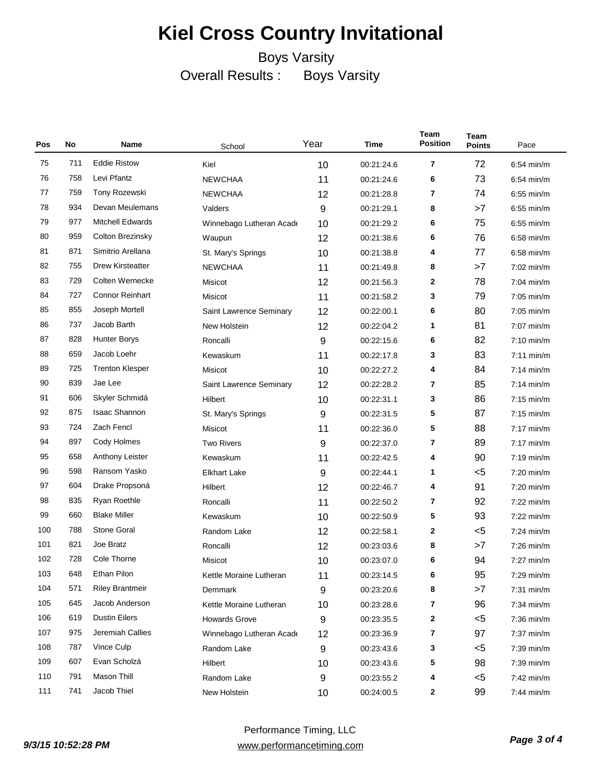| Pos | No  | Name                    | School                   | Year | Time       | Team<br><b>Position</b> | <b>Team</b><br><b>Points</b> | Pace                 |
|-----|-----|-------------------------|--------------------------|------|------------|-------------------------|------------------------------|----------------------|
| 75  | 711 | <b>Eddie Ristow</b>     | Kiel                     | 10   | 00:21:24.6 | 7                       | 72                           | $6:54$ min/m         |
| 76  | 758 | Levi Pfantz             | <b>NEWCHAA</b>           | 11   | 00:21:24.6 | 6                       | 73                           | $6.54$ min/m         |
| 77  | 759 | Tony Rozewski           | <b>NEWCHAA</b>           | 12   | 00:21:28.8 | 7                       | 74                           | $6.55$ min/m         |
| 78  | 934 | Devan Meulemans         | Valders                  | 9    | 00:21:29.1 | 8                       | >7                           | $6.55$ min/m         |
| 79  | 977 | <b>Mitchell Edwards</b> | Winnebago Lutheran Acade | 10   | 00:21:29.2 | 6                       | 75                           | $6:55$ min/m         |
| 80  | 959 | <b>Colton Brezinsky</b> | Waupun                   | 12   | 00:21:38.6 | 6                       | 76                           | $6.58$ min/m         |
| 81  | 871 | Simitrio Arellana       | St. Mary's Springs       | 10   | 00:21:38.8 | 4                       | 77                           | $6:58$ min/m         |
| 82  | 755 | Drew Kirsteatter        | <b>NEWCHAA</b>           | 11   | 00:21:49.8 | 8                       | >7                           | 7:02 min/m           |
| 83  | 729 | Colten Wernecke         | Misicot                  | 12   | 00:21:56.3 | 2                       | 78                           | $7:04$ min/m         |
| 84  | 727 | <b>Connor Reinhart</b>  | Misicot                  | 11   | 00:21:58.2 | 3                       | 79                           | $7:05$ min/m         |
| 85  | 855 | Joseph Mortell          | Saint Lawrence Seminary  | 12   | 00:22:00.1 | 6                       | 80                           | $7:05$ min/m         |
| 86  | 737 | Jacob Barth             | New Holstein             | 12   | 00:22:04.2 | 1                       | 81                           | $7:07$ min/m         |
| 87  | 828 | <b>Hunter Borys</b>     | Roncalli                 | 9    | 00:22:15.6 | 6                       | 82                           | $7:10$ min/m         |
| 88  | 659 | Jacob Loehr             | Kewaskum                 | 11   | 00:22:17.8 | 3                       | 83                           | $7:11$ min/m         |
| 89  | 725 | <b>Trenton Klesper</b>  | Misicot                  | 10   | 00:22:27.2 | 4                       | 84                           | $7:14$ min/m         |
| 90  | 839 | Jae Lee                 | Saint Lawrence Seminary  | 12   | 00:22:28.2 | 7                       | 85                           | $7:14$ min/m         |
| 91  | 606 | Skyler Schmidá          | Hilbert                  | 10   | 00:22:31.1 | 3                       | 86                           | $7:15$ min/m         |
| 92  | 875 | <b>Isaac Shannon</b>    | St. Mary's Springs       | 9    | 00:22:31.5 | 5                       | 87                           | $7:15$ min/m         |
| 93  | 724 | Zach Fencl              | Misicot                  | 11   | 00:22:36.0 | 5                       | 88                           | $7:17$ min/m         |
| 94  | 897 | Cody Holmes             | <b>Two Rivers</b>        | 9    | 00:22:37.0 | 7                       | 89                           | $7:17$ min/m         |
| 95  | 658 | Anthony Leister         | Kewaskum                 | 11   | 00:22:42.5 | 4                       | 90                           | $7:19$ min/m         |
| 96  | 598 | Ransom Yasko            | <b>Elkhart Lake</b>      | 9    | 00:22:44.1 | 1                       | $5$                          | $7:20$ min/m         |
| 97  | 604 | Drake Propsoná          | Hilbert                  | 12   | 00:22:46.7 | 4                       | 91                           | $7:20$ min/m         |
| 98  | 835 | Ryan Roethle            | Roncalli                 | 11   | 00:22:50.2 | 7                       | 92                           | $7:22$ min/m         |
| 99  | 660 | <b>Blake Miller</b>     | Kewaskum                 | 10   | 00:22:50.9 | 5                       | 93                           | $7:22$ min/m         |
| 100 | 788 | <b>Stone Goral</b>      | Random Lake              | 12   | 00:22:58.1 | 2                       | $5$                          | $7:24$ min/m         |
| 101 | 821 | Joe Bratz               | Roncalli                 | 12   | 00:23:03.6 | 8                       | >7                           | $7:26$ min/m         |
| 102 | 728 | Cole Thorne             | Misicot                  | 10   | 00:23:07.0 | 6                       | 94                           | $7:27$ min/m         |
| 103 | 648 | Ethan Pilon             | Kettle Moraine Lutheran  | 11   | 00:23:14.5 | 6                       | 95                           | $7:29 \text{ min/m}$ |
| 104 | 571 | <b>Riley Brantmeir</b>  | Demmark                  | 9    | 00:23:20.6 | 8                       | >7                           | $7:31$ min/m         |
| 105 | 645 | Jacob Anderson          | Kettle Moraine Lutheran  | 10   | 00:23:28.6 | 7                       | 96                           | $7:34$ min/m         |
| 106 | 619 | <b>Dustin Eilers</b>    | <b>Howards Grove</b>     | 9    | 00:23:35.5 | 2                       | $<$ 5                        | $7:36$ min/m         |
| 107 | 975 | Jeremiah Callies        | Winnebago Lutheran Acade | 12   | 00:23:36.9 | 7                       | 97                           | $7:37$ min/m         |
| 108 | 787 | Vince Culp              | Random Lake              | 9    | 00:23:43.6 | 3                       | $5$                          | 7:39 min/m           |
| 109 | 607 | Evan Scholzá            | Hilbert                  | 10   | 00:23:43.6 | 5                       | 98                           | $7:39$ min/m         |
| 110 | 791 | Mason Thill             | Random Lake              | 9    | 00:23:55.2 | 4                       | $5$                          | 7:42 min/m           |
| 111 | 741 | Jacob Thiel             | New Holstein             | 10   | 00:24:00.5 | 2                       | 99                           | 7:44 min/m           |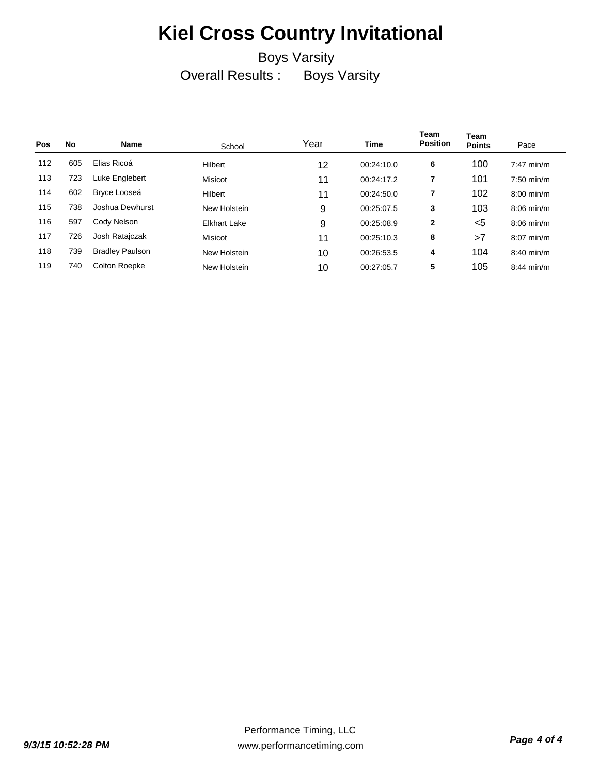| <b>Pos</b> | No  | Name                   | School              | Year | <b>Time</b> | <b>Team</b><br><b>Position</b> | Team<br><b>Points</b> | Pace                 |
|------------|-----|------------------------|---------------------|------|-------------|--------------------------------|-----------------------|----------------------|
| 112        | 605 | Elias Ricoá            | Hilbert             | 12   | 00:24:10.0  | 6                              | 100                   | $7:47$ min/m         |
| 113        | 723 | Luke Englebert         | Misicot             | 11   | 00:24:17.2  | 7                              | 101                   | $7:50$ min/m         |
| 114        | 602 | Bryce Looseá           | Hilbert             | 11   | 00:24:50.0  | 7                              | 102                   | $8:00$ min/m         |
| 115        | 738 | Joshua Dewhurst        | New Holstein        | 9    | 00:25:07.5  | 3                              | 103                   | $8:06$ min/m         |
| 116        | 597 | Cody Nelson            | <b>Elkhart Lake</b> | 9    | 00:25:08.9  | $\mathbf{2}$                   | <5                    | $8:06 \text{ min/m}$ |
| 117        | 726 | Josh Ratajczak         | Misicot             | 11   | 00:25:10.3  | 8                              | >7                    | $8:07$ min/m         |
| 118        | 739 | <b>Bradley Paulson</b> | New Holstein        | 10   | 00:26:53.5  | 4                              | 104                   | $8:40$ min/m         |
| 119        | 740 | Colton Roepke          | New Holstein        | 10   | 00:27:05.7  | 5                              | 105                   | $8:44$ min/m         |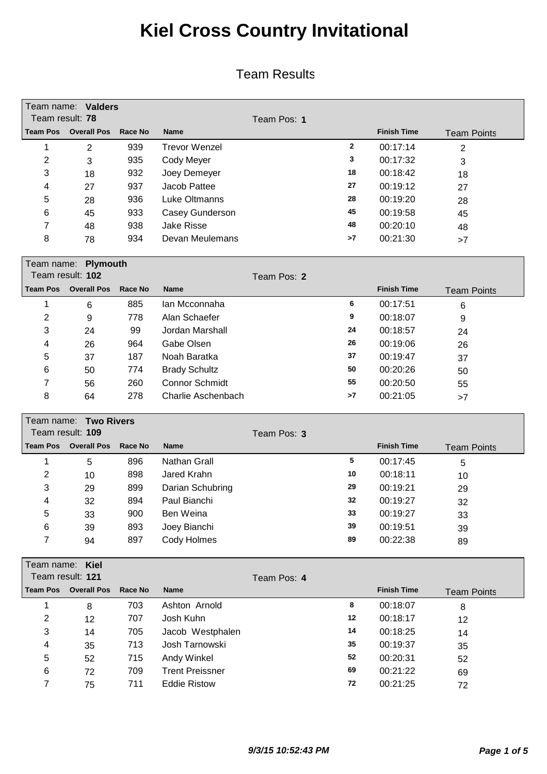#### Team Results

|                         | Team name: Valders    |                |                       |             |              |                    |                    |
|-------------------------|-----------------------|----------------|-----------------------|-------------|--------------|--------------------|--------------------|
| Team result: 78         |                       |                |                       | Team Pos: 1 |              |                    |                    |
| <b>Team Pos</b>         | <b>Overall Pos</b>    | Race No        | <b>Name</b>           |             |              | <b>Finish Time</b> | <b>Team Points</b> |
| 1                       | $\overline{2}$        | 939            | <b>Trevor Wenzel</b>  |             | $\mathbf{2}$ | 00:17:14           | $\overline{2}$     |
| $\overline{2}$          | 3                     | 935            | Cody Meyer            |             | 3            | 00:17:32           | 3                  |
| 3                       | 18                    | 932            | Joey Demeyer          |             | 18           | 00:18:42           | 18                 |
| 4                       | 27                    | 937            | Jacob Pattee          |             | 27           | 00:19:12           | 27                 |
| 5                       | 28                    | 936            | <b>Luke Oltmanns</b>  |             | 28           | 00:19:20           | 28                 |
| 6                       | 45                    | 933            | Casey Gunderson       |             | 45           | 00:19:58           | 45                 |
| 7                       | 48                    | 938            | <b>Jake Risse</b>     |             | 48           | 00:20:10           | 48                 |
| 8                       | 78                    | 934            | Devan Meulemans       |             | >7           | 00:21:30           | >7                 |
|                         | Team name: Plymouth   |                |                       |             |              |                    |                    |
|                         | Team result: 102      |                |                       | Team Pos: 2 |              |                    |                    |
| <b>Team Pos</b>         | <b>Overall Pos</b>    | Race No        | <b>Name</b>           |             |              | <b>Finish Time</b> | <b>Team Points</b> |
| 1                       | 6                     | 885            | Ian Mcconnaha         |             | 6            | 00:17:51           | 6                  |
| $\overline{\mathbf{c}}$ | 9                     | 778            | Alan Schaefer         |             | 9            | 00:18:07           | 9                  |
| 3                       | 24                    | 99             | Jordan Marshall       |             | 24           | 00:18:57           | 24                 |
| 4                       | 26                    | 964            | Gabe Olsen            |             | 26           | 00:19:06           | 26                 |
| 5                       | 37                    | 187            | Noah Baratka          |             | 37           | 00:19:47           | 37                 |
| 6                       | 50                    | 774            | <b>Brady Schultz</b>  |             | 50           | 00:20:26           | 50                 |
| 7                       | 56                    | 260            | <b>Connor Schmidt</b> |             | 55           | 00:20:50           | 55                 |
| 8                       | 64                    | 278            | Charlie Aschenbach    |             | >7           | 00:21:05           | >7                 |
|                         | Team name: Two Rivers |                |                       |             |              |                    |                    |
|                         | Team result: 109      |                |                       | Team Pos: 3 |              |                    |                    |
| <b>Team Pos</b>         | <b>Overall Pos</b>    | Race No        | <b>Name</b>           |             |              | <b>Finish Time</b> | <b>Team Points</b> |
| 1                       | 5                     | 896            | Nathan Grall          |             | 5            | 00:17:45           | 5                  |
| 2                       | 10                    | 898            | Jared Krahn           |             | 10           | 00:18:11           | 10                 |
| 3                       | 29                    | 899            | Darian Schubring      |             | 29           | 00:19:21           | 29                 |
| 4                       | 32                    | 894            | Paul Bianchi          |             | 32           | 00:19:27           | 32                 |
| 5                       | 33                    | 900            | Ben Weina             |             | 33           | 00:19:27           | 33                 |
| 6                       | 39                    | 893            | Joey Bianchi          |             | 39           | 00:19:51           | 39                 |
| 7                       | 94                    | 897            | Cody Holmes           |             | 89           | 00:22:38           | 89                 |
| Team name:              | Kiel                  |                |                       |             |              |                    |                    |
|                         | Team result: 121      |                |                       | Team Pos: 4 |              |                    |                    |
| <b>Team Pos</b>         | <b>Overall Pos</b>    | <b>Race No</b> | <b>Name</b>           |             |              | <b>Finish Time</b> | <b>Team Points</b> |
| 1                       | 8                     | 703            | Ashton Arnold         |             | 8            | 00:18:07           | 8                  |
| 2                       | 12                    | 707            | Josh Kuhn             |             | 12           | 00:18:17           | 12                 |
| 3                       | 14                    | 705            | Jacob Westphalen      |             | 14           | 00:18:25           | 14                 |
| 4                       | 35                    | 713            | Josh Tarnowski        |             | 35           | 00:19:37           | 35                 |
| 5                       | 52                    | 715            | Andy Winkel           |             | 52           | 00:20:31           | 52                 |

6 72 709 Trent Preissner **<sup>69</sup>** 00:21:22 69 7 75 711 Eddie Ristow **<sup>72</sup>** 00:21:25 72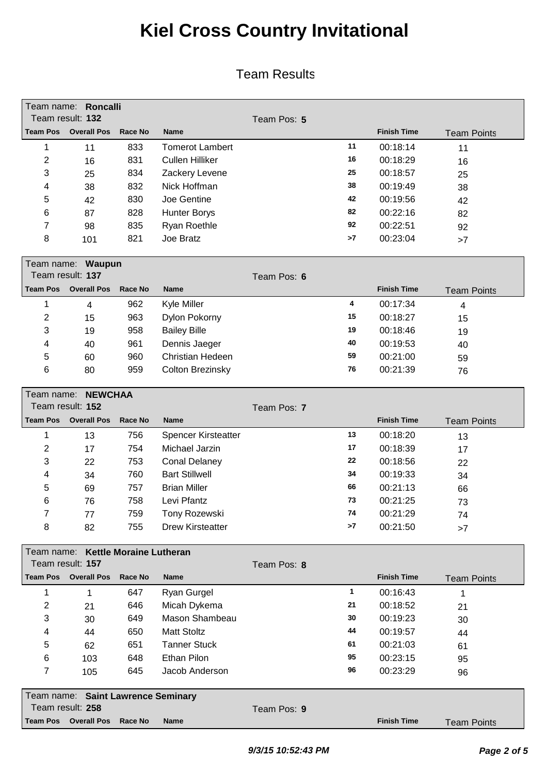|                 | Team name: Roncalli<br>Team result: 132                |                                |                            | Team Pos: 5 |    |                    |                    |
|-----------------|--------------------------------------------------------|--------------------------------|----------------------------|-------------|----|--------------------|--------------------|
| <b>Team Pos</b> | <b>Overall Pos</b>                                     | <b>Race No</b>                 | Name                       |             |    | <b>Finish Time</b> | <b>Team Points</b> |
| 1               | 11                                                     | 833                            | <b>Tomerot Lambert</b>     |             | 11 | 00:18:14           | 11                 |
| $\overline{2}$  | 16                                                     | 831                            | <b>Cullen Hilliker</b>     |             | 16 | 00:18:29           | 16                 |
| 3               | 25                                                     | 834                            | Zackery Levene             |             | 25 | 00:18:57           | 25                 |
| 4               | 38                                                     | 832                            | Nick Hoffman               |             | 38 | 00:19:49           | 38                 |
| 5               | 42                                                     | 830                            | Joe Gentine                |             | 42 | 00:19:56           | 42                 |
| 6               | 87                                                     | 828                            | <b>Hunter Borys</b>        |             | 82 | 00:22:16           | 82                 |
| 7               | 98                                                     | 835                            | Ryan Roethle               |             | 92 | 00:22:51           | 92                 |
| 8               | 101                                                    | 821                            | Joe Bratz                  |             | >7 | 00:23:04           | >7                 |
|                 | Team name: Waupun                                      |                                |                            |             |    |                    |                    |
|                 | Team result: 137                                       |                                |                            | Team Pos: 6 |    |                    |                    |
| <b>Team Pos</b> | <b>Overall Pos</b>                                     | Race No                        | <b>Name</b>                |             |    | <b>Finish Time</b> | <b>Team Points</b> |
| 1               | $\overline{4}$                                         | 962                            | Kyle Miller                |             | 4  | 00:17:34           | 4                  |
| $\overline{2}$  | 15                                                     | 963                            | Dylon Pokorny              |             | 15 | 00:18:27           | 15                 |
| 3               | 19                                                     | 958                            | <b>Bailey Bille</b>        |             | 19 | 00:18:46           | 19                 |
| 4               | 40                                                     | 961                            | Dennis Jaeger              |             | 40 | 00:19:53           | 40                 |
| 5               | 60                                                     | 960                            | <b>Christian Hedeen</b>    |             | 59 | 00:21:00           | 59                 |
| 6               | 80                                                     | 959                            | Colton Brezinsky           |             | 76 | 00:21:39           | 76                 |
| Team name:      | <b>NEWCHAA</b>                                         |                                |                            |             |    |                    |                    |
|                 | Team result: 152                                       |                                |                            | Team Pos: 7 |    |                    |                    |
| <b>Team Pos</b> | <b>Overall Pos</b>                                     | Race No                        | Name                       |             |    | <b>Finish Time</b> | <b>Team Points</b> |
| 1               | 13                                                     | 756                            | <b>Spencer Kirsteatter</b> |             | 13 | 00:18:20           | 13                 |
| $\overline{2}$  | 17                                                     | 754                            | Michael Jarzin             |             | 17 | 00:18:39           | 17                 |
| 3               | 22                                                     | 753                            | <b>Conal Delaney</b>       |             | 22 | 00:18:56           | 22                 |
| 4               | 34                                                     | 760                            | <b>Bart Stillwell</b>      |             | 34 | 00:19:33           | 34                 |
| 5               | 69                                                     | 757                            | <b>Brian Miller</b>        |             | 66 | 00:21:13           | 66                 |
| 6               | 76                                                     | 758                            | Levi Pfantz                |             | 73 | 00:21:25           | 73                 |
| 7               | 77                                                     | 759                            | Tony Rozewski              |             | 74 | 00:21:29           | 74                 |
| 8               | 82                                                     | 755                            | <b>Drew Kirsteatter</b>    |             | >7 | 00:21:50           | >7                 |
| Team name:      |                                                        | <b>Kettle Moraine Lutheran</b> |                            |             |    |                    |                    |
|                 | Team result: 157                                       |                                |                            | Team Pos: 8 |    |                    |                    |
| <b>Team Pos</b> | <b>Overall Pos</b>                                     | <b>Race No</b>                 | Name                       |             |    | <b>Finish Time</b> | <b>Team Points</b> |
| 1               | $\mathbf{1}$                                           | 647                            | Ryan Gurgel                |             | 1  | 00:16:43           | 1                  |
| 2               | 21                                                     | 646                            | Micah Dykema               |             | 21 | 00:18:52           | 21                 |
| 3               | 30                                                     | 649                            | Mason Shambeau             |             | 30 | 00:19:23           | 30                 |
| 4               | 44                                                     | 650                            | <b>Matt Stoltz</b>         |             | 44 | 00:19:57           | 44                 |
| 5               | 62                                                     | 651                            | <b>Tanner Stuck</b>        |             | 61 | 00:21:03           | 61                 |
| 6               | 103                                                    | 648                            | <b>Ethan Pilon</b>         |             | 95 | 00:23:15           | 95                 |
| 7               | 105                                                    | 645                            | Jacob Anderson             |             | 96 | 00:23:29           | 96                 |
|                 |                                                        |                                |                            |             |    |                    |                    |
|                 | Team name: Saint Lawrence Seminary<br>Team result: 258 |                                |                            | Team Pos: 9 |    |                    |                    |
| <b>Team Pos</b> | <b>Overall Pos</b>                                     | Race No                        | <b>Name</b>                |             |    | <b>Finish Time</b> | <b>Team Points</b> |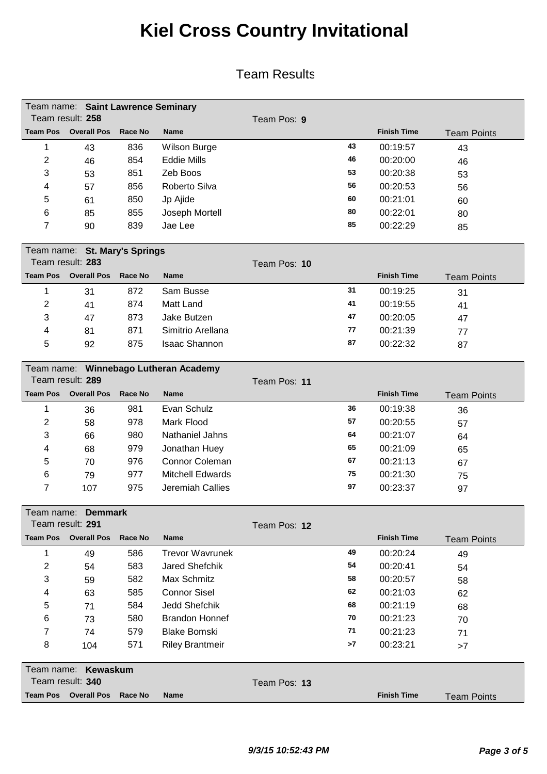|                 | Team name: Saint Lawrence Seminary |         |                     |             |    |                    |                    |  |  |  |
|-----------------|------------------------------------|---------|---------------------|-------------|----|--------------------|--------------------|--|--|--|
|                 | Team result: 258                   |         |                     | Team Pos: 9 |    |                    |                    |  |  |  |
| <b>Team Pos</b> | <b>Overall Pos</b>                 | Race No | <b>Name</b>         |             |    | <b>Finish Time</b> | <b>Team Points</b> |  |  |  |
|                 | 43                                 | 836     | <b>Wilson Burge</b> |             | 43 | 00:19:57           | 43                 |  |  |  |
| 2               | 46                                 | 854     | <b>Eddie Mills</b>  |             | 46 | 00:20:00           | 46                 |  |  |  |
| 3               | 53                                 | 851     | Zeb Boos            |             | 53 | 00:20:38           | 53                 |  |  |  |
| 4               | 57                                 | 856     | Roberto Silva       |             | 56 | 00:20:53           | 56                 |  |  |  |
| 5               | 61                                 | 850     | Jp Ajide            |             | 60 | 00:21:01           | 60                 |  |  |  |
| 6               | 85                                 | 855     | Joseph Mortell      |             | 80 | 00:22:01           | 80                 |  |  |  |
| 7               | 90                                 | 839     | Jae Lee             |             | 85 | 00:22:29           | 85                 |  |  |  |

|                 | Team name: St. Mary's Springs |         |                      |              |    |                    |                    |  |  |  |  |
|-----------------|-------------------------------|---------|----------------------|--------------|----|--------------------|--------------------|--|--|--|--|
|                 | Team result: 283              |         |                      | Team Pos: 10 |    |                    |                    |  |  |  |  |
| <b>Team Pos</b> | <b>Overall Pos</b>            | Race No | <b>Name</b>          |              |    | <b>Finish Time</b> | <b>Team Points</b> |  |  |  |  |
|                 | 31                            | 872     | Sam Busse            |              | 31 | 00:19:25           | 31                 |  |  |  |  |
| 2               | 41                            | 874     | Matt Land            |              | 41 | 00:19:55           | 41                 |  |  |  |  |
| 3               | 47                            | 873     | Jake Butzen          |              | 47 | 00:20:05           | 47                 |  |  |  |  |
| 4               | 81                            | 871     | Simitrio Arellana    |              | 77 | 00:21:39           | 77                 |  |  |  |  |
| 5               | 92                            | 875     | <b>Isaac Shannon</b> |              | 87 | 00:22:32           | 87                 |  |  |  |  |
|                 |                               |         |                      |              |    |                    |                    |  |  |  |  |

|   | Team name: Winnebago Lutheran Academy |         |                  |    |                    |                    |  |  |  |  |
|---|---------------------------------------|---------|------------------|----|--------------------|--------------------|--|--|--|--|
|   | Team result: 289                      |         |                  |    |                    |                    |  |  |  |  |
|   | <b>Team Pos</b> Overall Pos           | Race No | <b>Name</b>      |    | <b>Finish Time</b> | <b>Team Points</b> |  |  |  |  |
|   | 36                                    | 981     | Evan Schulz      | 36 | 00:19:38           | 36                 |  |  |  |  |
| 2 | 58                                    | 978     | Mark Flood       | 57 | 00:20:55           | 57                 |  |  |  |  |
| 3 | 66                                    | 980     | Nathaniel Jahns  | 64 | 00:21:07           | 64                 |  |  |  |  |
| 4 | 68                                    | 979     | Jonathan Huey    | 65 | 00:21:09           | 65                 |  |  |  |  |
| 5 | 70                                    | 976     | Connor Coleman   | 67 | 00:21:13           | 67                 |  |  |  |  |
| 6 | 79                                    | 977     | Mitchell Edwards | 75 | 00:21:30           | 75                 |  |  |  |  |
| 7 | 107                                   | 975     | Jeremiah Callies | 97 | 00:23:37           | 97                 |  |  |  |  |

|            | Team name: Demmark      |                |                        |              |                    |                    |  |  |  |  |  |
|------------|-------------------------|----------------|------------------------|--------------|--------------------|--------------------|--|--|--|--|--|
|            | Team result: <b>291</b> |                |                        | Team Pos: 12 |                    |                    |  |  |  |  |  |
| Team Pos   | <b>Overall Pos</b>      | <b>Race No</b> | <b>Name</b>            |              | <b>Finish Time</b> | <b>Team Points</b> |  |  |  |  |  |
|            | 49                      | 586            | <b>Trevor Wavrunek</b> | 49           | 00:20:24           | 49                 |  |  |  |  |  |
| 2          | 54                      | 583            | Jared Shefchik         | 54           | 00:20:41           | 54                 |  |  |  |  |  |
| 3          | 59                      | 582            | Max Schmitz            | 58           | 00:20:57           | 58                 |  |  |  |  |  |
| 4          | 63                      | 585            | <b>Connor Sisel</b>    | 62           | 00:21:03           | 62                 |  |  |  |  |  |
| 5          | 71                      | 584            | Jedd Shefchik          | 68           | 00:21:19           | 68                 |  |  |  |  |  |
| 6          | 73                      | 580            | <b>Brandon Honnef</b>  | 70           | 00:21:23           | 70                 |  |  |  |  |  |
| 7          | 74                      | 579            | <b>Blake Bomski</b>    | 71           | 00:21:23           | 71                 |  |  |  |  |  |
| 8          | 104                     | 571            | <b>Riley Brantmeir</b> | >7           | 00:23:21           | >7                 |  |  |  |  |  |
| Team name: | Kewaskum                |                |                        |              |                    |                    |  |  |  |  |  |
|            | Team result: <b>340</b> |                |                        | Team Pos: 13 |                    |                    |  |  |  |  |  |
| Team Pos   | <b>Overall Pos</b>      | Race No        | <b>Name</b>            |              | <b>Finish Time</b> | <b>Team Points</b> |  |  |  |  |  |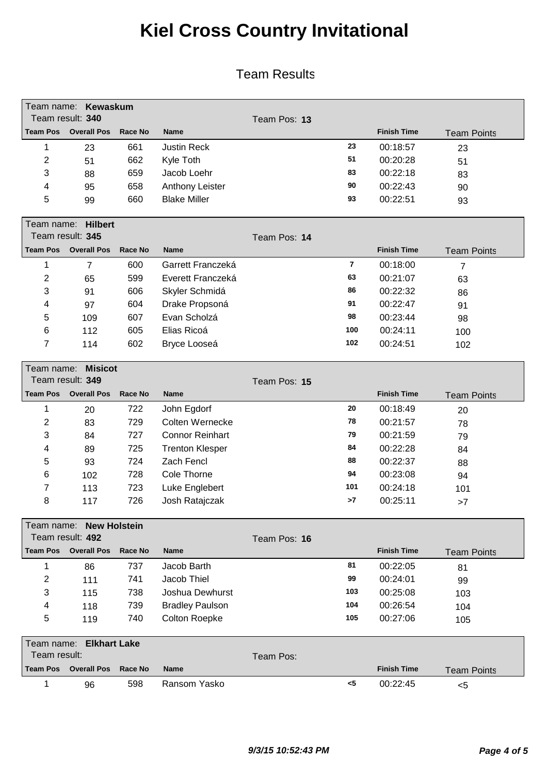|                 | Team name: Kewaskum                |                |                        |              |                |                    |                    |
|-----------------|------------------------------------|----------------|------------------------|--------------|----------------|--------------------|--------------------|
|                 | Team result: 340                   |                |                        | Team Pos: 13 |                |                    |                    |
| <b>Team Pos</b> | <b>Overall Pos</b>                 | Race No        | <b>Name</b>            |              |                | <b>Finish Time</b> | <b>Team Points</b> |
| 1               | 23                                 | 661            | <b>Justin Reck</b>     |              | 23             | 00:18:57           | 23                 |
| $\overline{2}$  | 51                                 | 662            | Kyle Toth              |              | 51             | 00:20:28           | 51                 |
| 3               | 88                                 | 659            | Jacob Loehr            |              | 83             | 00:22:18           | 83                 |
| 4               | 95                                 | 658            | Anthony Leister        |              | 90             | 00:22:43           | 90                 |
| 5               | 99                                 | 660            | <b>Blake Miller</b>    |              | 93             | 00:22:51           | 93                 |
|                 |                                    |                |                        |              |                |                    |                    |
| Team name:      | <b>Hilbert</b><br>Team result: 345 |                |                        | Team Pos: 14 |                |                    |                    |
| <b>Team Pos</b> | <b>Overall Pos</b>                 | <b>Race No</b> | <b>Name</b>            |              |                | <b>Finish Time</b> |                    |
|                 |                                    |                |                        |              | $\overline{7}$ |                    | <b>Team Points</b> |
| 1               | $\overline{7}$                     | 600            | Garrett Franczeká      |              | 63             | 00:18:00           | $\overline{7}$     |
| $\overline{2}$  | 65                                 | 599            | Everett Franczeká      |              |                | 00:21:07           | 63                 |
| 3               | 91                                 | 606            | Skyler Schmidá         |              | 86             | 00:22:32           | 86                 |
| 4               | 97                                 | 604            | Drake Propsoná         |              | 91             | 00:22:47           | 91                 |
| 5               | 109                                | 607            | Evan Scholzá           |              | 98             | 00:23:44           | 98                 |
| 6               | 112                                | 605            | Elias Ricoá            |              | 100            | 00:24:11           | 100                |
| 7               | 114                                | 602            | Bryce Looseá           |              | 102            | 00:24:51           | 102                |
| Team name:      | <b>Misicot</b>                     |                |                        |              |                |                    |                    |
|                 | Team result: 349                   |                |                        | Team Pos: 15 |                |                    |                    |
| <b>Team Pos</b> | <b>Overall Pos</b>                 | Race No        | <b>Name</b>            |              |                | <b>Finish Time</b> | <b>Team Points</b> |
| 1               | 20                                 | 722            | John Egdorf            |              | 20             | 00:18:49           | 20                 |
| $\overline{2}$  | 83                                 | 729            | Colten Wernecke        |              | 78             | 00:21:57           | 78                 |
| 3               | 84                                 | 727            | <b>Connor Reinhart</b> |              | 79             | 00:21:59           | 79                 |
| 4               | 89                                 | 725            | <b>Trenton Klesper</b> |              | 84             | 00:22:28           | 84                 |
| 5               | 93                                 | 724            | Zach Fencl             |              | 88             | 00:22:37           | 88                 |
| 6               | 102                                | 728            | Cole Thorne            |              | 94             | 00:23:08           | 94                 |
| 7               | 113                                | 723            | Luke Englebert         |              | 101            | 00:24:18           | 101                |
| 8               | 117                                | 726            | Josh Ratajczak         |              | >7             | 00:25:11           | >7                 |
|                 | Team name: New Holstein            |                |                        |              |                |                    |                    |
|                 | Team result: 492                   |                |                        | Team Pos: 16 |                |                    |                    |
| <b>Team Pos</b> | <b>Overall Pos</b>                 | <b>Race No</b> | Name                   |              |                | <b>Finish Time</b> | <b>Team Points</b> |
| 1               | 86                                 | 737            | Jacob Barth            |              | 81             | 00:22:05           | 81                 |
| $\overline{2}$  | 111                                | 741            | Jacob Thiel            |              | 99             | 00:24:01           | 99                 |
| 3               | 115                                | 738            | Joshua Dewhurst        |              | 103            | 00:25:08           | 103                |
| 4               | 118                                | 739            | <b>Bradley Paulson</b> |              | 104            | 00:26:54           | 104                |
| 5               | 119                                | 740            | Colton Roepke          |              | 105            | 00:27:06           | 105                |
|                 |                                    |                |                        |              |                |                    |                    |
| Team name:      | <b>Elkhart Lake</b>                |                |                        |              |                |                    |                    |
| Team result:    |                                    |                |                        | Team Pos:    |                |                    |                    |
| <b>Team Pos</b> | <b>Overall Pos</b>                 | <b>Race No</b> | Name                   |              |                | <b>Finish Time</b> | <b>Team Points</b> |
| 1               | 96                                 | 598            | Ransom Yasko           |              | $<$ 5          | 00:22:45           | < 5                |